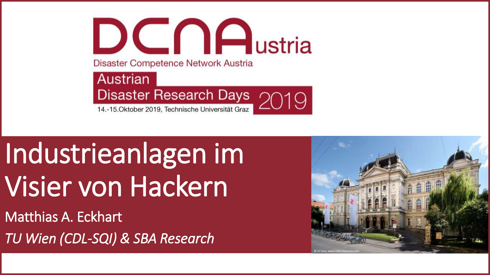$DCD$ Disaster Competence Network Austria Austrian Disaster Research Days<br>14-15.0ktober 2019, Technische Universität Graz

14.-15. Oktober 2019, Technische Universität Graz

# Industrieanlagen im Visier von Hackern

Matthias A. Eckhart *TU Wien (CDL-SQI) & SBA Research*

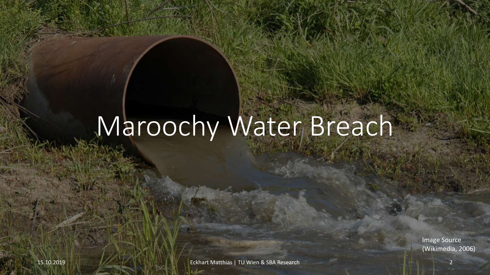## Maroochy Water Breach

Image Source (Wikimedia, 2006)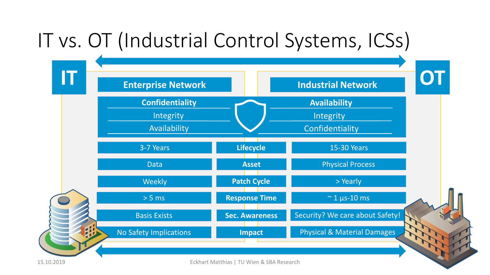## IT vs. OT (Industrial Control Systems, ICSs)



15.10.2019 Eckhart Matthias | TU Wien & SBA Research 3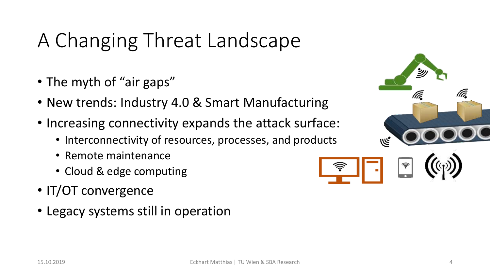## A Changing Threat Landscape

- The myth of "air gaps"
- New trends: Industry 4.0 & Smart Manufacturing
- Increasing connectivity expands the attack surface:
	- Interconnectivity of resources, processes, and products
	- Remote maintenance
	- Cloud & edge computing
- IT/OT convergence
- Legacy systems still in operation

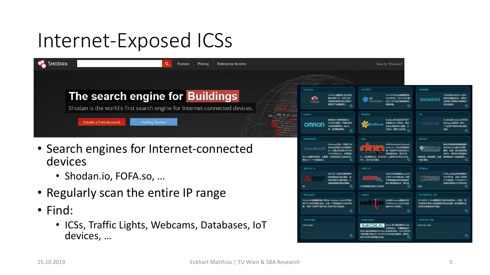## Internet-Exposed ICSs

| <b>SHODAN</b><br>Pricing<br><b>Enterprise Access</b><br>Explore           | New to Shodan?                                                                                                                                                                                                                                                                                                                                                                                                                                                                                                                                                                                                                                                                                                                                                                                                                                                                                                         |                                                            |
|---------------------------------------------------------------------------|------------------------------------------------------------------------------------------------------------------------------------------------------------------------------------------------------------------------------------------------------------------------------------------------------------------------------------------------------------------------------------------------------------------------------------------------------------------------------------------------------------------------------------------------------------------------------------------------------------------------------------------------------------------------------------------------------------------------------------------------------------------------------------------------------------------------------------------------------------------------------------------------------------------------|------------------------------------------------------------|
| The search engine for Buildings                                           | <b>GE-SRIP</b><br><b>Colleton</b><br>$1.513 \pm 0.004 \pm 0.004 \pm 0.004 \pm 0.004$<br>.<br>CoDeGui解照图DE文解答<br>GE-GATP协议由美国通用电<br>$1.1011 + 1.1111 + 1.01111 + 1.0111 + 1.011$                                                                                                                                                                                                                                                                                                                                                                                                                                                                                                                                                                                                                                                                                                                                        | SIEMENS<br><b>UTBURBEMENS</b>                              |
| Shodan is the world's first search engine for Internet-connected devices. | <b><i>MARRINA: GE PLOSINIE</i></b><br>编内图图 注: 全球上选手<br>п<br>in al<br>189955888888888898<br>MGE-SATPLEYS BERGEL<br>収集制造用的の功能保障中<br>Colletton<br><b>ALAPAYANG REGISTER</b><br><b>ACCOUNTMUNICATION</b><br>解剖用了研究所的。<br>防腐肉糖。<br>$-1.5.4.1.7.1.1.7.7.4.4.6.6.9.7.7.8.4$<br><b><i>A BARRA CREATE BARRA DI BARRA DI BARRA DI BARRA DI BARRA DI BARRA DI BARRA DI BARRA DI BARRA DI BARRA DI BARRA</i></b><br>A + + + + +<br><b><i>Contractorium</i></b>                                                                                                                                                                                                                                                                                                                                                                                                                                                                     | 情報の実施設を収<br><b>SIEMEN!</b><br><b>法用制定的通信不足</b><br>WHIMSON. |
| <b>Getting Started</b><br>Create a Free Account                           | Modbus<br>184, 18, 61, 231<br><b>OFFICIAL</b><br><b>ROM</b><br>104.57757<br>結局深れに世界同期地区<br>Modouth位是应用于电子<br><b><i><u>DESCRIPTION IN THE OWNER.</u></i></b><br><b>Modous</b><br>FINS社行通信, 可是立刻体<br><b>10906240-40002, 通过</b><br>$1.1 1.1 1.1 1.1 1.1 1.1 1.1 1.1 1.1 1.1 1.1 1.1 1.1 1.1 1.1 1.1 1.1 1.1 1.1 1.1 1.1 1.1 1.1 1.1 1.$<br>不同的地理网络, 如汉太<br>此外以说解释可以选择。白<br>じらも一番用工业作者。<br>片、丑削数目的8.<br><b>ALLEN PRODUCTS</b><br>$\begin{array}{c cccccc} \hline \multicolumn{3}{c }{\textbf{1}} & \multicolumn{3}{c }{\textbf{2}} & \multicolumn{3}{c }{\textbf{3}} & \multicolumn{3}{c }{\textbf{4}} & \multicolumn{3}{c }{\textbf{5}} & \multicolumn{3}{c }{\textbf{6}} & \multicolumn{3}{c }{\textbf{7}} & \multicolumn{3}{c }{\textbf{8}} & \multicolumn{3}{c }{\textbf{9}} & \multicolumn{3}{c }{\textbf{1}} & \multicolumn{3}{c }{\textbf{1}} & \multicolumn{3}{c }{\textbf{1}} & \multic$<br><b>ALLEN BERRIEFE</b> | ForthW@Sridium<br>Ellisgaw@WEI-<br>广泛应用于信卡曲<br>事紙          |
|                                                                           | <b>Critical Blue ID</b>                                                                                                                                                                                                                                                                                                                                                                                                                                                                                                                                                                                                                                                                                                                                                                                                                                                                                                | <b>BACHAR</b>                                              |

- Search engines for Internet-connected devices
	- Shodan.io, FOFA.so, …
- Regularly scan the entire IP range
- Find:
	- ICSs, Traffic Lights, Webcams, Databases, IoT devices, …

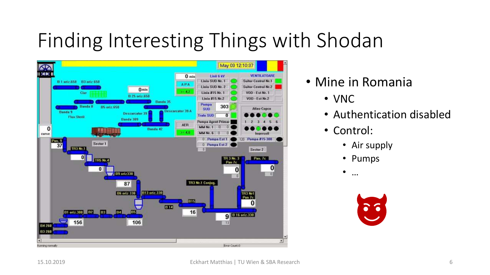## Finding Interesting Things with Shodan



- Mine in Romania
	- VNC
	- Authentication disabled
	- Control:
		- Air supply
		- Pumps
		- …

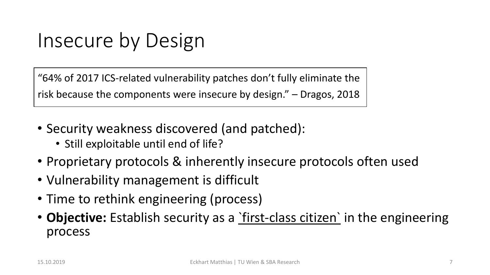## Insecure by Design

"64% of 2017 ICS-related vulnerability patches don't fully eliminate the risk because the components were insecure by design." – Dragos, 2018

- Security weakness discovered (and patched):
	- Still exploitable until end of life?
- Proprietary protocols & inherently insecure protocols often used
- Vulnerability management is difficult
- Time to rethink engineering (process)
- **Objective:** Establish security as a <u>first-class citizen</u> in the engineering process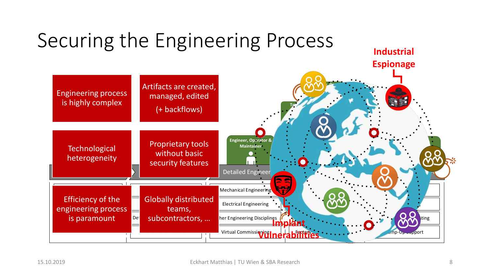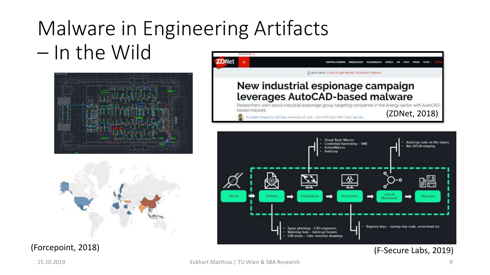### Malware in Engineering Artifacts – In the Wild **EDITION: ELI**





(Forcepoint, 2018)

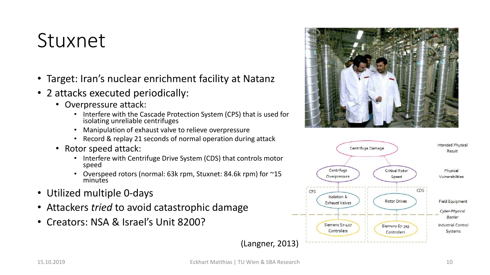## Stuxnet

- Target: Iran's nuclear enrichment facility at Natanz
- 2 attacks executed periodically:
	- Overpressure attack:
		- Interfere with the Cascade Protection System (CPS) that is used for isolating unreliable centrifuges
		- Manipulation of exhaust valve to relieve overpressure
		- Record & replay 21 seconds of normal operation during attack
	- Rotor speed attack:
		- Interfere with Centrifuge Drive System (CDS) that controls motor speed
		- Overspeed rotors (normal: 63k rpm, Stuxnet: 84.6k rpm) for ~15 minutes
- Utilized multiple 0-days
- Attackers *tried* to avoid catastrophic damage
- Creators: NSA & Israel's Unit 8200?



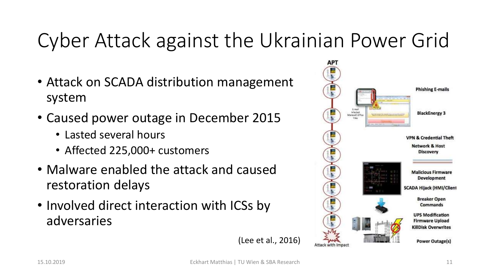## Cyber Attack against the Ukrainian Power Grid

- Attack on SCADA distribution management system
- Caused power outage in December 2015
	- Lasted several hours
	- Affected 225,000+ customers
- Malware enabled the attack and caused restoration delays
- Involved direct interaction with ICSs by adversaries



(Lee et al., 2016)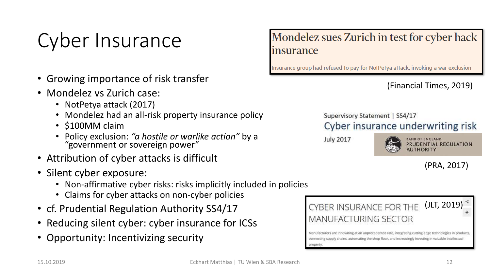## Cyber Insurance

- Growing importance of risk transfer
- Mondelez vs Zurich case:
	- NotPetya attack (2017)
	- Mondelez had an all-risk property insurance policy
	- \$100MM claim
	- Policy exclusion: *"a hostile or warlike action"* by a "government or sovereign power"
- Attribution of cyber attacks is difficult
- Silent cyber exposure:
	- Non-affirmative cyber risks: risks implicitly included in policies
	- Claims for cyber attacks on non-cyber policies
- cf. Prudential Regulation Authority SS4/17
- Reducing silent cyber: cyber insurance for ICSs
- Opportunity: Incentivizing security

### Mondelez sues Zurich in test for cyber hack *insurance*

Insurance group had refused to pay for NotPetya attack, invoking a war exclusion

(Financial Times, 2019)

Supervisory Statement | SS4/17 Cyber insurance underwriting risk

**July 2017** 



**BANK OF ENGLAND** PRUDENTIAL REGULATION

(PRA, 2017)

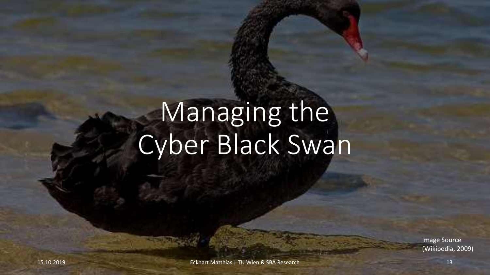# Managing the Cyber Black Swan

Image Source (Wikipedia, 2009)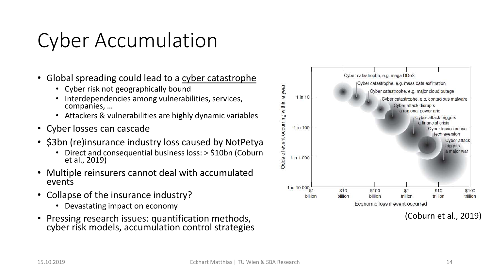## Cyber Accumulation

- Global spreading could lead to a cyber catastrophe
	- Cyber risk not geographically bound
	- Interdependencies among vulnerabilities, services, companies, …
	- Attackers & vulnerabilities are highly dynamic variables
- Cyber losses can cascade
- \$3bn (re)insurance industry loss caused by NotPetya
	- Direct and consequential business loss: > \$10bn (Coburn et al., 2019)
- Multiple reinsurers cannot deal with accumulated events
- Collapse of the insurance industry?
	- Devastating impact on economy
- Pressing research issues: quantification methods, cyber risk models, accumulation control strategies



(Coburn et al., 2019)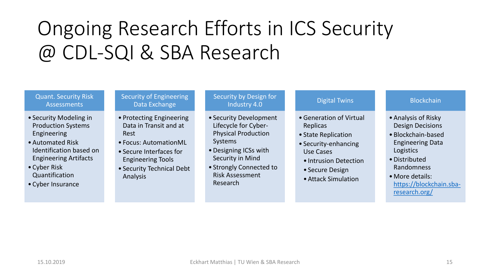## Ongoing Research Efforts in ICS Security @ CDL-SQI & SBA Research

### Quant. Security Risk **Assessments**

- Security Modeling in Production Systems Engineering
- •Automated Risk Identification based on Engineering Artifacts
- Cyber Risk Quantification
- Cyber Insurance

#### Security of Engineering Data Exchange

- Protecting Engineering Data in Transit and at Rest
- Focus: AutomationML
- Secure Interfaces for Engineering Tools
- Security Technical Debt Analysis

#### Security by Design for Industry 4.0

- Security Development Lifecycle for Cyber-Physical Production Systems
- •Designing ICSs with Security in Mind
- Strongly Connected to Risk Assessment Research

### Digital Twins

- •Generation of Virtual Replicas
- State Replication
- Security-enhancing Use Cases
- Intrusion Detection
- Secure Design
- •Attack Simulation

### **Blockchain**

- •Analysis of Risky Design Decisions
- Blockchain-based Engineering Data Logistics
- •Distributed Randomness
- •More details: [https://blockchain.sba](https://blockchain.sba-research.org/)research.org/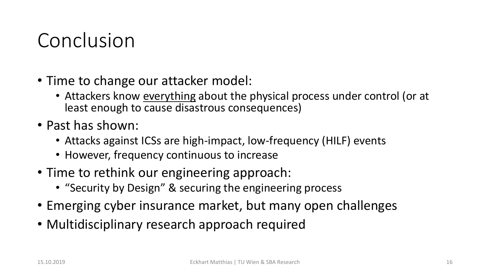## Conclusion

- Time to change our attacker model:
	- Attackers know everything about the physical process under control (or at least enough to cause disastrous consequences)
- Past has shown:
	- Attacks against ICSs are high-impact, low-frequency (HILF) events
	- However, frequency continuous to increase
- Time to rethink our engineering approach:
	- "Security by Design" & securing the engineering process
- Emerging cyber insurance market, but many open challenges
- Multidisciplinary research approach required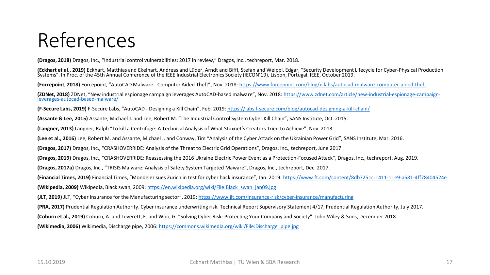## References

**(Dragos, 2018)** Dragos, Inc., "Industrial control vulnerabilities: 2017 in review," Dragos, Inc., techreport, Mar. 2018.

**(Eckhart et al., 2019)** Eckhart, Matthias and Ekelhart, Andreas and Lüder, Arndt and Biffl, Stefan and Weippl, Edgar, "Security Development Lifecycle for Cyber-Physical Production Systems". In Proc. of the 45th Annual Conference of the IEEE Industrial Electronics Society (IECON'19), Lisbon, Portugal. IEEE, October 2019.

**(Forcepoint, 2018)** Forcepoint, "AutoCAD Malware - Computer Aided Theft", Nov. 2018: <https://www.forcepoint.com/blog/x-labs/autocad-malware-computer-aided-theft>

**(ZDNet, 2018)** ZDNet, "New industrial espionage campaign leverages AutoCAD-based malware", Nov. 2018: [https://www.zdnet.com/article/new-industrial-espionage-campaign](https://www.zdnet.com/article/new-industrial-espionage-campaign-leverages-autocad-based-malware/)leverages-autocad-based-malware/

**(F-Secure Labs, 2019)** F-Secure Labs, "AutoCAD - Designing a Kill Chain", Feb. 2019: <https://labs.f-secure.com/blog/autocad-designing-a-kill-chain/>

**(Assante & Lee, 2015)** Assante, Michael J. and Lee, Robert M. "The Industrial Control System Cyber Kill Chain", SANS Institute, Oct. 2015.

**(Langner, 2013)** Langner, Ralph "To kill a Centrifuge: A Technical Analysis of What Stuxnet's Creators Tried to Achieve", Nov. 2013.

**(Lee et al., 2016)** Lee, Robert M. and Assante, Michael J. and Conway, Tim "Analysis of the Cyber Attack on the Ukrainian Power Grid", SANS Institute, Mar. 2016.

**(Dragos, 2017)** Dragos, Inc., "CRASHOVERRIDE: Analysis of the Threat to Electric Grid Operations", Dragos, Inc., techreport, June 2017.

**(Dragos, 2019)** Dragos, Inc., "CRASHOVERRIDE: Reassessing the 2016 Ukraine Electric Power Event as a Protection-Focused Attack", Dragos, Inc., techreport, Aug. 2019.

**(Dragos, 2017a)** Dragos, Inc., "TRISIS Malware: Analysis of Safety System Targeted Maware", Dragos, Inc., techreport, Dec. 2017.

**(Financial Times, 2019)** Financial Times, "Mondelez sues Zurich in test for cyber hack insurance", Jan. 2019: <https://www.ft.com/content/8db7251c-1411-11e9-a581-4ff78404524e>

**(Wikipedia, 2009)** Wikipedia, Black swan, 2009: [https://en.wikipedia.org/wiki/File:Black\\_swan\\_jan09.jpg](https://en.wikipedia.org/wiki/File:Black_swan_jan09.jpg)

**(JLT, 2019)** JLT, "Cyber Insurance for the Manufacturing sector", 2019: <https://www.jlt.com/insurance-risk/cyber-insurance/manufacturing>

**(PRA, 2017)** Prudential Regulation Authority. Cyber insurance underwriting risk. Technical Report Supervisory Statement 4/17, Prudential Regulation Authority, July 2017.

**(Coburn et al., 2019)** Coburn, A. and Leverett, E. and Woo, G. "Solving Cyber Risk: Protecting Your Company and Society". John Wiley & Sons, December 2018.

**(Wikimedia, 2006)** Wikimedia, Discharge pipe, 2006: [https://commons.wikimedia.org/wiki/File:Discharge\\_pipe.jpg](https://commons.wikimedia.org/wiki/File:Discharge_pipe.jpg)